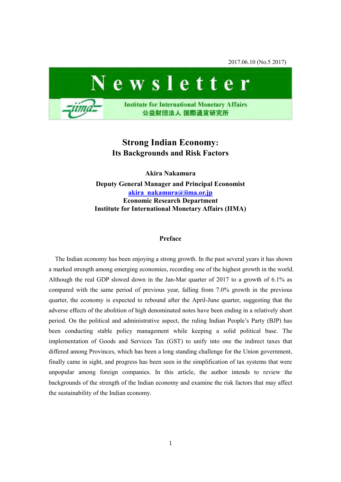2017.06.10 (No.5 2017)



# **Strong Indian Economy: Its Backgrounds and Risk Factors**

**Akira Nakamura Deputy General Manager and Principal Economist [akira\\_nakamura@iima.or.jp](mailto:akira_nakamura@iima.or.jp)  Economic Research Department Institute for International Monetary Affairs (IIMA)**

## **Preface**

The Indian economy has been enjoying a strong growth. In the past several years it has shown a marked strength among emerging economies, recording one of the highest growth in the world. Although the real GDP slowed down in the Jan-Mar quarter of 2017 to a growth of 6.1% as compared with the same period of previous year, falling from 7.0% growth in the previous quarter, the economy is expected to rebound after the April-June quarter, suggesting that the adverse effects of the abolition of high denominated notes have been ending in a relatively short period. On the political and administrative aspect, the ruling Indian People's Party (BJP) has been conducting stable policy management while keeping a solid political base. The implementation of Goods and Services Tax (GST) to unify into one the indirect taxes that differed among Provinces, which has been a long standing challenge for the Union government, finally came in sight, and progress has been seen in the simplification of tax systems that were unpopular among foreign companies. In this article, the author intends to review the backgrounds of the strength of the Indian economy and examine the risk factors that may affect the sustainability of the Indian economy.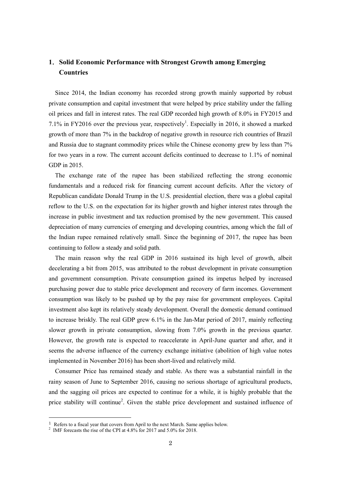# **1**.**Solid Economic Performance with Strongest Growth among Emerging Countries**

Since 2014, the Indian economy has recorded strong growth mainly supported by robust private consumption and capital investment that were helped by price stability under the falling oil prices and fall in interest rates. The real GDP recorded high growth of 8.0% in FY2015 and 7.1% in FY2016 over the previous year, respectively<sup>1</sup>. Especially in 2016, it showed a marked growth of more than 7% in the backdrop of negative growth in resource rich countries of Brazil and Russia due to stagnant commodity prices while the Chinese economy grew by less than 7% for two years in a row. The current account deficits continued to decrease to 1.1% of nominal GDP in 2015.

The exchange rate of the rupee has been stabilized reflecting the strong economic fundamentals and a reduced risk for financing current account deficits. After the victory of Republican candidate Donald Trump in the U.S. presidential election, there was a global capital reflow to the U.S. on the expectation for its higher growth and higher interest rates through the increase in public investment and tax reduction promised by the new government. This caused depreciation of many currencies of emerging and developing countries, among which the fall of the Indian rupee remained relatively small. Since the beginning of 2017, the rupee has been continuing to follow a steady and solid path.

The main reason why the real GDP in 2016 sustained its high level of growth, albeit decelerating a bit from 2015, was attributed to the robust development in private consumption and government consumption. Private consumption gained its impetus helped by increased purchasing power due to stable price development and recovery of farm incomes. Government consumption was likely to be pushed up by the pay raise for government employees. Capital investment also kept its relatively steady development. Overall the domestic demand continued to increase briskly. The real GDP grew 6.1% in the Jan-Mar period of 2017, mainly reflecting slower growth in private consumption, slowing from 7.0% growth in the previous quarter. However, the growth rate is expected to reaccelerate in April-June quarter and after, and it seems the adverse influence of the currency exchange initiative (abolition of high value notes implemented in November 2016) has been short-lived and relatively mild.

Consumer Price has remained steady and stable. As there was a substantial rainfall in the rainy season of June to September 2016, causing no serious shortage of agricultural products, and the sagging oil prices are expected to continue for a while, it is highly probable that the price stability will continue<sup>2</sup>. Given the stable price development and sustained influence of

-

 $1$  Refers to a fiscal year that covers from April to the next March. Same applies below.

<sup>&</sup>lt;sup>2</sup> IMF forecasts the rise of the CPI at 4.8% for 2017 and 5.0% for 2018.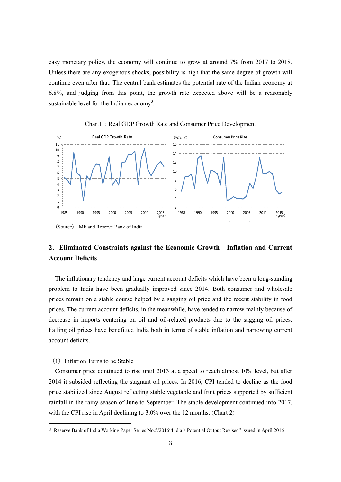easy monetary policy, the economy will continue to grow at around 7% from 2017 to 2018. Unless there are any exogenous shocks, possibility is high that the same degree of growth will continue even after that. The central bank estimates the potential rate of the Indian economy at 6.8%, and judging from this point, the growth rate expected above will be a reasonably sustainable level for the Indian economy<sup>3</sup>.



Chart1: Real GDP Growth Rate and Consumer Price Development

# **2**.**Eliminated Constraints against the Economic Growth—Inflation and Current Account Deficits**

The inflationary tendency and large current account deficits which have been a long-standing problem to India have been gradually improved since 2014. Both consumer and wholesale prices remain on a stable course helped by a sagging oil price and the recent stability in food prices. The current account deficits, in the meanwhile, have tended to narrow mainly because of decrease in imports centering on oil and oil-related products due to the sagging oil prices. Falling oil prices have benefitted India both in terms of stable inflation and narrowing current account deficits.

# $(1)$  Inflation Turns to be Stable

-

Consumer price continued to rise until 2013 at a speed to reach almost 10% level, but after 2014 it subsided reflecting the stagnant oil prices. In 2016, CPI tended to decline as the food price stabilized since August reflecting stable vegetable and fruit prices supported by sufficient rainfall in the rainy season of June to September. The stable development continued into 2017, with the CPI rise in April declining to 3.0% over the 12 months. (Chart 2)

<sup>(</sup>Source) IMF and Reserve Bank of India

<sup>3</sup> Reserve Bank of India Working Paper Series No.5/2016"India's Potential Output Revised" issued in April 2016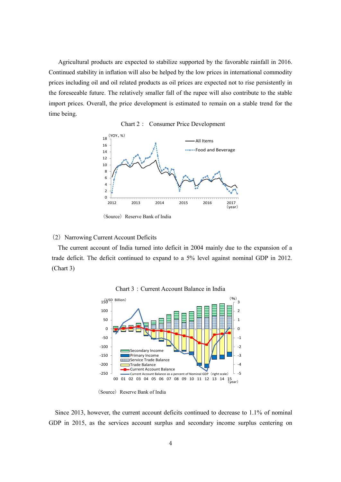Agricultural products are expected to stabilize supported by the favorable rainfall in 2016. Continued stability in inflation will also be helped by the low prices in international commodity prices including oil and oil related products as oil prices are expected not to rise persistently in the foreseeable future. The relatively smaller fall of the rupee will also contribute to the stable import prices. Overall, the price development is estimated to remain on a stable trend for the time being.





(Source) Reserve Bank of India

# (2) Narrowing Current Account Deficits

The current account of India turned into deficit in 2004 mainly due to the expansion of a trade deficit. The deficit continued to expand to a 5% level against nominal GDP in 2012. (Chart 3)





(Source) Reserve Bank of India

Since 2013, however, the current account deficits continued to decrease to 1.1% of nominal GDP in 2015, as the services account surplus and secondary income surplus centering on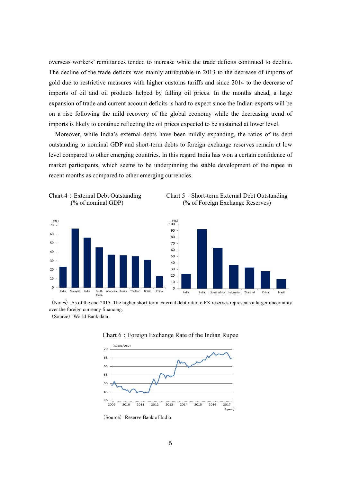overseas workers' remittances tended to increase while the trade deficits continued to decline. The decline of the trade deficits was mainly attributable in 2013 to the decrease of imports of gold due to restrictive measures with higher customs tariffs and since 2014 to the decrease of imports of oil and oil products helped by falling oil prices. In the months ahead, a large expansion of trade and current account deficits is hard to expect since the Indian exports will be on a rise following the mild recovery of the global economy while the decreasing trend of imports is likely to continue reflecting the oil prices expected to be sustained at lower level.

Moreover, while India's external debts have been mildly expanding, the ratios of its debt outstanding to nominal GDP and short-term debts to foreign exchange reserves remain at low level compared to other emerging countries. In this regard India has won a certain confidence of market participants, which seems to be underpinning the stable development of the rupee in recent months as compared to other emerging currencies.









(Notes) As of the end 2015. The higher short-term external debt ratio to FX reserves represents a larger uncertainty over the foreign currency financing.

(Source) World Bank data.





(Source) Reserve Bank of India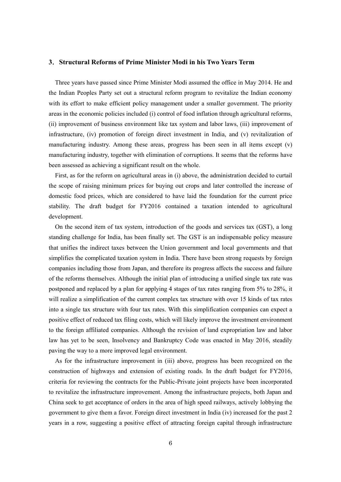#### **3**.**Structural Reforms of Prime Minister Modi in his Two Years Term**

Three years have passed since Prime Minister Modi assumed the office in May 2014. He and the Indian Peoples Party set out a structural reform program to revitalize the Indian economy with its effort to make efficient policy management under a smaller government. The priority areas in the economic policies included (i) control of food inflation through agricultural reforms, (ii) improvement of business environment like tax system and labor laws, (iii) improvement of infrastructure, (iv) promotion of foreign direct investment in India, and (v) revitalization of manufacturing industry. Among these areas, progress has been seen in all items except (v) manufacturing industry, together with elimination of corruptions. It seems that the reforms have been assessed as achieving a significant result on the whole.

First, as for the reform on agricultural areas in (i) above, the administration decided to curtail the scope of raising minimum prices for buying out crops and later controlled the increase of domestic food prices, which are considered to have laid the foundation for the current price stability. The draft budget for FY2016 contained a taxation intended to agricultural development.

On the second item of tax system, introduction of the goods and services tax (GST), a long standing challenge for India, has been finally set. The GST is an indispensable policy measure that unifies the indirect taxes between the Union government and local governments and that simplifies the complicated taxation system in India. There have been strong requests by foreign companies including those from Japan, and therefore its progress affects the success and failure of the reforms themselves. Although the initial plan of introducing a unified single tax rate was postponed and replaced by a plan for applying 4 stages of tax rates ranging from 5% to 28%, it will realize a simplification of the current complex tax structure with over 15 kinds of tax rates into a single tax structure with four tax rates. With this simplification companies can expect a positive effect of reduced tax filing costs, which will likely improve the investment environment to the foreign affiliated companies. Although the revision of land expropriation law and labor law has yet to be seen, Insolvency and Bankruptcy Code was enacted in May 2016, steadily paving the way to a more improved legal environment.

As for the infrastructure improvement in (iii) above, progress has been recognized on the construction of highways and extension of existing roads. In the draft budget for FY2016, criteria for reviewing the contracts for the Public-Private joint projects have been incorporated to revitalize the infrastructure improvement. Among the infrastructure projects, both Japan and China seek to get acceptance of orders in the area of high speed railways, actively lobbying the government to give them a favor. Foreign direct investment in India (iv) increased for the past 2 years in a row, suggesting a positive effect of attracting foreign capital through infrastructure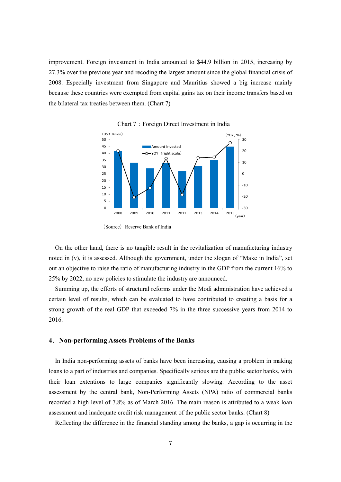improvement. Foreign investment in India amounted to \$44.9 billion in 2015, increasing by 27.3% over the previous year and recoding the largest amount since the global financial crisis of 2008. Especially investment from Singapore and Mauritius showed a big increase mainly because these countries were exempted from capital gains tax on their income transfers based on the bilateral tax treaties between them. (Chart 7)



Chart 7: Foreign Direct Investment in India

On the other hand, there is no tangible result in the revitalization of manufacturing industry noted in (v), it is assessed. Although the government, under the slogan of "Make in India", set out an objective to raise the ratio of manufacturing industry in the GDP from the current 16% to 25% by 2022, no new policies to stimulate the industry are announced.

Summing up, the efforts of structural reforms under the Modi administration have achieved a certain level of results, which can be evaluated to have contributed to creating a basis for a strong growth of the real GDP that exceeded 7% in the three successive years from 2014 to 2016.

#### **4**.**Non-performing Assets Problems of the Banks**

In India non-performing assets of banks have been increasing, causing a problem in making loans to a part of industries and companies. Specifically serious are the public sector banks, with their loan extentions to large companies significantly slowing. According to the asset assessment by the central bank, Non-Performing Assets (NPA) ratio of commercial banks recorded a high level of 7.8% as of March 2016. The main reason is attributed to a weak loan assessment and inadequate credit risk management of the public sector banks. (Chart 8)

Reflecting the difference in the financial standing among the banks, a gap is occurring in the

<sup>(</sup>Source) Reserve Bank of India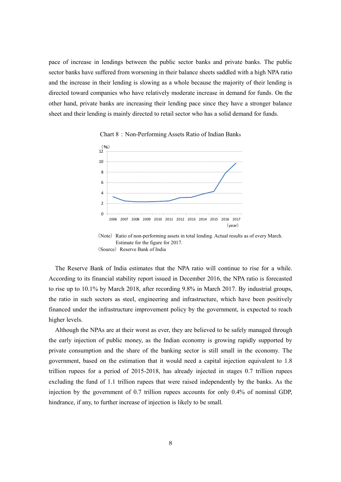pace of increase in lendings between the public sector banks and private banks. The public sector banks have suffered from worsening in their balance sheets saddled with a high NPA ratio and the increase in their lending is slowing as a whole because the majority of their lending is directed toward companies who have relatively moderate increase in demand for funds. On the other hand, private banks are increasing their lending pace since they have a stronger balance sheet and their lending is mainly directed to retail sector who has a solid demand for funds.





The Reserve Bank of India estimates that the NPA ratio will continue to rise for a while. According to its financial stability report issued in December 2016, the NPA ratio is forecasted to rise up to 10.1% by March 2018, after recording 9.8% in March 2017. By industrial groups, the ratio in such sectors as steel, engineering and infrastructure, which have been positively financed under the infrastructure improvement policy by the government, is expected to reach higher levels.

Although the NPAs are at their worst as ever, they are believed to be safely managed through the early injection of public money, as the Indian economy is growing rapidly supported by private consumption and the share of the banking sector is still small in the economy. The government, based on the estimation that it would need a capital injection equivalent to 1.8 trillion rupees for a period of 2015-2018, has already injected in stages 0.7 trillion rupees excluding the fund of 1.1 trillion rupees that were raised independently by the banks. As the injection by the government of 0.7 trillion rupees accounts for only 0.4% of nominal GDP, hindrance, if any, to further increase of injection is likely to be small.

<sup>(</sup>Note) Ratio of non-performing assets in total lending. Actual results as of every March. Estimate for the figure for 2017. (Source) Reserve Bank of India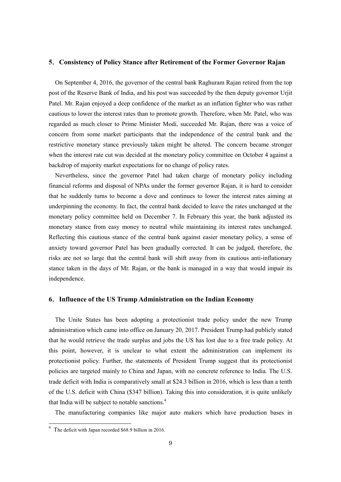#### **5**.**Consistency of Policy Stance after Retirement of the Former Governor Rajan**

On September 4, 2016, the governor of the central bank Raghuram Rajan retired from the top post of the Reserve Bank of India, and his post was succeeded by the then deputy governor Urjit Patel. Mr. Rajan enjoyed a deep confidence of the market as an inflation fighter who was rather cautious to lower the interest rates than to promote growth. Therefore, when Mr. Patel, who was regarded as much closer to Prime Minister Modi, succeeded Mr. Rajan, there was a voice of concern from some market participants that the independence of the central bank and the restrictive monetary stance previously taken might be altered. The concern became stronger when the interest rate cut was decided at the monetary policy committee on October 4 against a backdrop of majority market expectations for no change of policy rates.

Nevertheless, since the governor Patel had taken charge of monetary policy including financial reforms and disposal of NPAs under the former governor Rajan, it is hard to consider that he suddenly turns to become a dove and continues to lower the interest rates aiming at underpinning the economy. In fact, the central bank decided to leave the rates unchanged at the monetary policy committee held on December 7. In February this year, the bank adjusted its monetary stance from easy money to neutral while maintaining its interest rates unchanged. Reflecting this cautious stance of the central bank against easier monetary policy, a sense of anxiety toward governor Patel has been gradually corrected. It can be judged, therefore, the risks are not so large that the central bank will shift away from its cautious anti-inflationary stance taken in the days of Mr. Rajan, or the bank is managed in a way that would impair its independence.

### **6**.**Influence of the US Trump Administration on the Indian Economy**

The Unite States has been adopting a protectionist trade policy under the new Trump administration which came into office on January 20, 2017. President Trump had publicly stated that he would retrieve the trade surplus and jobs the US has lost due to a free trade policy. At this point, however, it is unclear to what extent the administration can implement its protectionist policy. Further, the statements of President Trump suggest that its protectionist policies are targeted mainly to China and Japan, with no concrete reference to India. The U.S. trade deficit with India is comparatively small at \$24.3 billion in 2016, which is less than a tenth of the U.S. deficit with China (\$347 billion). Taking this into consideration, it is quite unlikely that India will be subject to notable sanctions.<sup>4</sup>

The manufacturing companies like major auto makers which have production bases in

-

<sup>4</sup> The deficit with Japan recorded \$68.9 billion in 2016.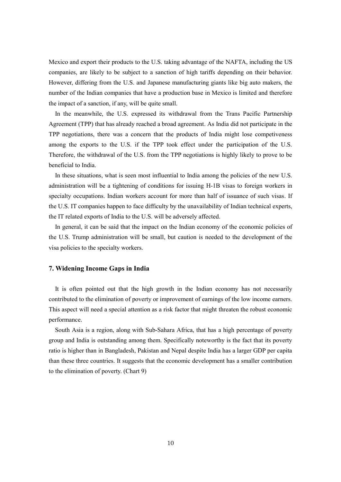Mexico and export their products to the U.S. taking advantage of the NAFTA, including the US companies, are likely to be subject to a sanction of high tariffs depending on their behavior. However, differing from the U.S. and Japanese manufacturing giants like big auto makers, the number of the Indian companies that have a production base in Mexico is limited and therefore the impact of a sanction, if any, will be quite small.

In the meanwhile, the U.S. expressed its withdrawal from the Trans Pacific Partnership Agreement (TPP) that has already reached a broad agreement. As India did not participate in the TPP negotiations, there was a concern that the products of India might lose competiveness among the exports to the U.S. if the TPP took effect under the participation of the U.S. Therefore, the withdrawal of the U.S. from the TPP negotiations is highly likely to prove to be beneficial to India.

In these situations, what is seen most influential to India among the policies of the new U.S. administration will be a tightening of conditions for issuing H-1B visas to foreign workers in specialty occupations. Indian workers account for more than half of issuance of such visas. If the U.S. IT companies happen to face difficulty by the unavailability of Indian technical experts, the IT related exports of India to the U.S. will be adversely affected.

In general, it can be said that the impact on the Indian economy of the economic policies of the U.S. Trump administration will be small, but caution is needed to the development of the visa policies to the specialty workers.

#### **7. Widening Income Gaps in India**

It is often pointed out that the high growth in the Indian economy has not necessarily contributed to the elimination of poverty or improvement of earnings of the low income earners. This aspect will need a special attention as a risk factor that might threaten the robust economic performance.

South Asia is a region, along with Sub-Sahara Africa, that has a high percentage of poverty group and India is outstanding among them. Specifically noteworthy is the fact that its poverty ratio is higher than in Bangladesh, Pakistan and Nepal despite India has a larger GDP per capita than these three countries. It suggests that the economic development has a smaller contribution to the elimination of poverty. (Chart 9)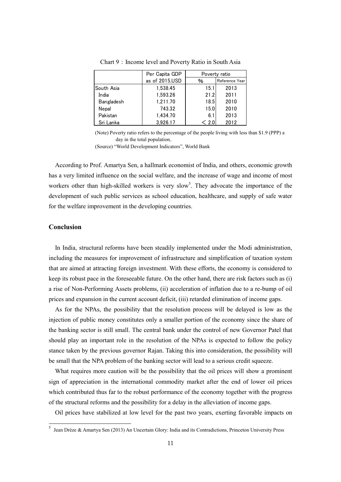|            | Per Capita GDP | Poverty ratio |                |
|------------|----------------|---------------|----------------|
|            | as of 2015,USD | %             | Reference Year |
| South Asia | 1.538.45       | 15.1          | 2013           |
| India      | 1,593.26       | 21.2          | 2011           |
| Bangladesh | 1,211.70       | 18.5          | 2010           |
| Nepal      | 743.32         | 15.0          | 2010           |
| Pakistan   | 1.434.70       | 6.1           | 2013           |
| Sri Lanka  | 3,926.17       | < 2.0         | 2012           |

Chart 9: Income level and Poverty Ratio in South Asia

(Note) Poverty ratio refers to the percentage of the people living with less than \$1.9 (PPP) a day in the total population。

(Source) "World Development Indicators", World Bank

According to Prof. Amartya Sen, a hallmark economist of India, and others, economic growth has a very limited influence on the social welfare, and the increase of wage and income of most workers other than high-skilled workers is very slow<sup>5</sup>. They advocate the importance of the development of such public services as school education, healthcare, and supply of safe water for the welfare improvement in the developing countries.

# **Conclusion**

In India, structural reforms have been steadily implemented under the Modi administration, including the measures for improvement of infrastructure and simplification of taxation system that are aimed at attracting foreign investment. With these efforts, the economy is considered to keep its robust pace in the foreseeable future. On the other hand, there are risk factors such as (i) a rise of Non-Performing Assets problems, (ii) acceleration of inflation due to a re-bump of oil prices and expansion in the current account deficit, (iii) retarded elimination of income gaps.

As for the NPAs, the possibility that the resolution process will be delayed is low as the injection of public money constitutes only a smaller portion of the economy since the share of the banking sector is still small. The central bank under the control of new Governor Patel that should play an important role in the resolution of the NPAs is expected to follow the policy stance taken by the previous governor Rajan. Taking this into consideration, the possibility will be small that the NPA problem of the banking sector will lead to a serious credit squeeze.

What requires more caution will be the possibility that the oil prices will show a prominent sign of appreciation in the international commodity market after the end of lower oil prices which contributed thus far to the robust performance of the economy together with the progress of the structural reforms and the possibility for a delay in the alleviation of income gaps.

Oil prices have stabilized at low level for the past two years, exerting favorable impacts on

 5 Jean Drèze & Amartya Sen (2013) An Uncertain Glory: India and its Contradictions, Princeton University Press